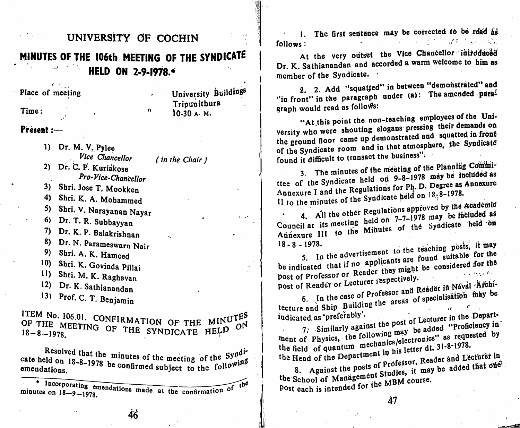### UNIVERSITY OF COCHIN 1. The first sentence may be corrected to be read as MINUTES OF THE 106th MEETING OF THE SYNDICATE HELD ON 2-9-1978.\* ● >●'! University Buildings Place of meeting Tripupithura Time:  $\Omega$ 10-30 A. M. Present: 1) Dr. M. V. Pylee , Vice Chancellor (in the Chair ) 2) Dr. C. P. Kuriakose Pro-Vice-Chanccllor 3) Shri. Jose T. Mookken 4) Shri. K. A. Mohammed 5) Shri. V. Narayanan Nayar 6) Dr. T. R. Subbayyan  $\epsilon$  . 7) Dr. K. P. Balakrishnan 8) Dr. N. Parameswarn Nair 9) Shri. A. K. Hameed 10) Shri. K. Govinda Pillai 11) Shri. M. K. Raghavan 12) Dr. K. Sathianand an "<sup>101</sup>. C. 1. Benjamin LIEM No. 106.01. CONFIRMATION OF THE MINUTES TEM NO. 106.01. CONFIRMATION OF THE MINUTE<br>OF THE MEETING OF THE SYNDICATE HELD O  $18 - 8 - 1978$ .

cate held on  $18-8-1978$  be confirmed in the meeting of the  $emendations.$  confirmed subject to the four-

\* Incorporating emendations made  $\frac{18}{18} - 9 - 1978$ , of follows : the contract of the contract of the contract of the contract of the contract of the contract of the contract of the contract of the contract of the contract of the contract of the contract of the contract of the

At the very outset the Vice Chancellor introduced Dr. K. Sathianandan and accorded a warm welcome to him as member of the Syndicate.

2. 2. Add "squatted" in between "demonstrated" and "in front" in the paragraph under (a): The amended paral

graph would read as follows:<br>"At this point the non-teaching employees of the University who were shouting slogans pressing their demands on the ground floor came up demonstrated and squatted in front of the Syndicate room and in that atmosphere, the Syndicate

found it difficult to transact the business".<br>3. The minutes of the meeting of the Planning Committee of the Syndicate held on 9-8-1978 may be included as<br>Annexure I and the Regulations for Ph. D. Degree as Annexure II to the minutes of the Syndicate held on  $18-8-1978$ .

4. All the other Annexure III to the Minutes of the Syndicate held on roved by the Academid be ihfcluded as held 'bn 18-8 - 1978.

5. In the advertisement to the teaching posts, it may<br>be indicated that if no applicants are found suitable for the post of Professor or Reader they might be considered for the post of Professor or Albert respectively. post of Reader or Lecturer  $\frac{1}{2}$ 

6. In the case of Professor and Reader in Naval Architecture and Ship Building the areas of specialisation may be indicated as 'preferably'.<br>7. Similarly against the post of Lecturer in the Departindicated as preferably . Let the nost of Lecturer in the Depart-

 $\frac{7.5 \text{ [Similar]}}{2}$  Similarly against the Propic be added "Pronciency in the c  $\mu$ , c encontum mechanics/electronics as requested the c  $\mu$ the field of quantum mechanics/electronics' as requested by the field of quantum mechanics/electronics' as requested by the Head of the Department in his letter dt. 31-8-1978.

8. Against the posts of Professor, Reader and Lecturer in Secret the School of Management Studies, it may be added that one The School of Manual the MBM course.

Post each is intended for the me-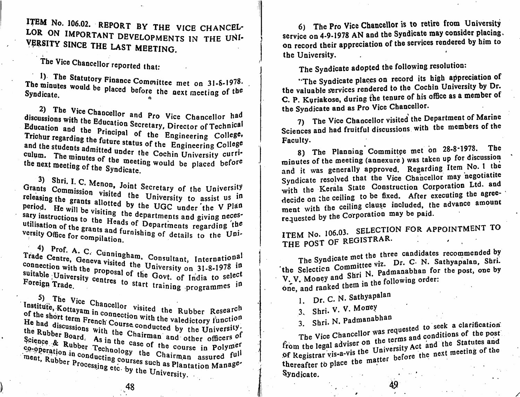ITEM No. 106.02. REPORT BY THE VICE CHANCEL- 6) The Pro Vice Chancellor is to retire from University LOR ON IMPORTANT DEVELOPMENTS IN THE UNI-VERSITY SINCE THE LAST MEETING.

The Vice Chancellor reported that:

minutes would be placed to a monittee met on 31-8-1978.  $T_{\text{tot}}$  minutes would be placed before the Syndicate.  $\frac{1}{2}$  is the next meeting of the Syndicate.

2) The Vice Chancellor and Pro Vice Chancellor had<br>discussions with the Education Secretary, Director of Technical discussions with the Education Secretary, Director of Technical<br>Education and the Principal of the Engineering College,<br>Trichur regarding the future status the Engineering College, and the students admitted under it. Considering College and the students admitted under the Cochin University curriculum. The minutes of the meeting would be placed before<br>the next meeting of the Sundiaction was dear incerting of the Syndicate.

Its Commission visited at Secretary of the University releasing the grants allotted by the UGC under the V Plan  $H<sup>e</sup>$  will be visiting the Grants Commission visited the University to assist us in  $\frac{1}{2}$  instructions to the Heads of Dependix and giving necessary sary instructions to the Heads of Departments regarding the<br>utilisation of the grants and furnishing of details to the University Office for compilation utilisation of the grants and furnishing of details to the Uni-

4) Prof. A. C. Cunningham, Consultant, International connection with the proposal of the Gaute of Lives on 21-8-1978 in connection with the proposal of the Govt. of India to select The guide. The start training programmes in

 $\frac{3}{100}$  The Vice Chancelles  $\frac{1}{100}$ .

ine Rubber Research Institute, Kottayam in connection with the valedictory function<br>of the short term French Course conducted by the University. the Rubber Board  $\lambda$ , the Chairman and other officers of  $S<sup>CI</sup>$ ence & Rubber  $\pi$ <sup>3</sup> In the case of the case of the case of  $\pi$ -term of the Rubber Board. As in the case of the course in Polymer Science & Rubber Technology the Chairman assured full<br>co-operation in an assured full  $\frac{c_{9}}{p}$  beration in conducting courses such as Plantation Manage-<br>ment. Ruther processing courses such as Plantation Management, Rubber Processing etc. by the University.

on 4-9-1978 AN and the Syndicate may consider placing,  $\alpha$ on record their appreciation of the services rendered by man to the University. 6) service on

The Syndicate adopted the following resolution;

"The Syndicate places on record its high appreciation of "The Syndicate places on record its high appreciation" the valuable services rendered to the Cochin University by Dr. C. P. Kvriakose. during the tenure of his office as a member of the Syndicate and as Pro Vice Chancellor.

7) The Vice Chancellor visited the Department of Marine The vice Chancellor visited the -----<br>nces and had fruitful discussions with the members of the Sciences and had fruitful discussions Faculty.

8) The Planning Committee met on  $28-8-1978$ . The minutes of the meeting (annexure) was taken up for discussion and it was generally approved. Regarding Item No. 1 the Syndicate resolved that the Vice Chancellor may negotiatite with the Kerala State Construction Corporation Ltd. and decide on the ceiling to be fixed. After executing the agreedecide on the ceiling to be fixed. After executing the agreements ment with the ceiling clause included, the advance amount of the advance and requested by the Corporation may be paid.

ITEM No. 106.03. SELECTION FOR APPOINTMENT TO  $, 100.03$ THE POST OF REGISTRAR.

The Syndicate met the three candidates recommended by The Syndicate met the sate Dr. C. N. Sathyapalan, Shri.<br>
the Selecticn Committee viz. Dr. C. N. Sathyapalan, Shri.  $W, V$ . Money and Shri N. Padmanabhan for the post, one by  $W, V$ . Money and Shri he following order: one, and ranked them in the following order

Dr. C. N. Sathyapalan

3. Shri. V. V. Money<br>3. Shri. N. Padmanabhan

3. Shri. N. Paumanabahan seguested to seek a clarification The Vice Chancellor was refined and conditions of the post from the legal adviser on the terms and conditions of the post<br>of Registrar vis-a-vis the University Act and the Statutes and thereafter to place the matter before the next meeting of the Syndicate.

48 4S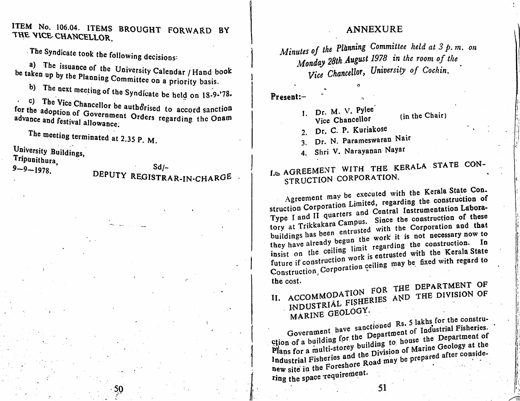ILEM NO. 106.04. ITEMS BROUGHT FORWARD BY THE VICE CHANCELLOR.

The Syndicate took the following decisions:<br>a) The issuance of the University Calendar / Hand book up by the Planning Committee on a missile to the late op committee on a priority basis. be taken

b) The next meeting of the Syndicate be held on 18-9-'78.

evence and festival allowance. to a ccord sanction for the adoption of Government Orders regarding the Onam

The meeting terminated at 2.35 P. M.

University Buildings,

Tripunithura,

 $9 - 9 - 1978$ ,

#### annexure

Minutes of the Planning Committee held at 3 p.m. on<br> $\frac{1}{2}$  and  $\frac{1}{2}$  and  $\frac{1}{2}$  and  $\frac{1}{2}$  in the ream of the  $M$ onaay 20th  $A_{\text{max}}$ . In the room of  $\text{Cosh}$ Vice Chancellor, University of Collection

Presenl:-

- 1. Dr. M. V. Pylee 1. D. M. Chancellor (in the Chair)
- 2. Dr. C. P. Kuriakose
- 3. Dr. N. Parameswaran Nair
- 4. Shri V. Narayanan Nayar

## Sd/-<br>STRAR-IN-CHARGE . | I.& AGREEMENT WITH THE KERALA STATE CON-DEPUTY REGISTRAR-IN-CHARGE | IS AUKDENILLY CORPORATION.

Agreement may be executed with the Kerala State Con. struction Corporation Limited, regarding the construction of Type I and II quarters and Central Instrumentation Labora-Type I and II guarrelless. Since the construction of these Trip is considered with the Corporation and that buildings has been entrusted with the Corporation and that buildings has been the work it is not necessary now to<br>they have already begun the seconding the construction. In torv at they have a settlement on the construction. In Insisted with the Kerala State future if construction work is entrusted with the Kerala State future if conserve  $\alpha$  ceiling may be note with regard to  $\alpha$ Construction, the cost.

,,

ŧ.

, 1

FOR THE DEPARTMENT OF INDUSTRIÅL FISHERIES AND THE DIVISION OF MARINE GEOLOGY. II marine

 $d$  Rs. 5 lakhs for the constru-Griden of a building for the Department of Industrial Fisheries.<br>Plans for a multi-storey building to house the Department of Industrial Fisheries and the Division of Marine Geology at the new site in the Foreshore Road may be prepared after considering the space requirement.

 $50$  is the set of  $\mathbb{I}$  in the set of  $\mathbb{I}$  is the set of  $\mathbb{I}$  is the set of  $\mathbb{I}$